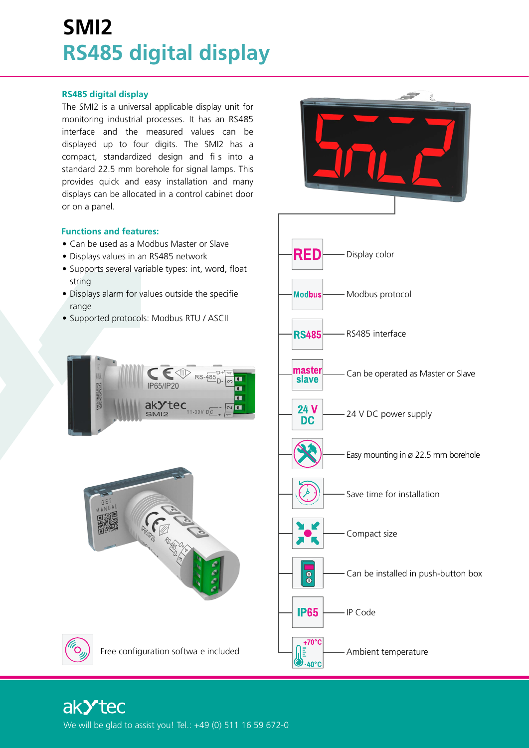# **SMI2 RS485 digital display**

### **RS485 digital display**

The SMI2 is a universal applicable display unit for monitoring industrial processes. It has an RS485 interface and the measured values can be displayed up to four digits. The SMI2 has a compact, standardized design and fi s into a standard 22.5 mm borehole for signal lamps. This provides quick and easy installation and many displays can be allocated in a control cabinet door or on a panel.

## **Functions and features:**

- Can be used as a Modbus Master or Slave
- Displays values in an RS485 network
- Supports several variable types: int, word, float string
- Displays alarm for values outside the specifie range
- Supported protocols: Modbus RTU / ASCII





ak>tec

We will be glad to assist you! Tel.: +49 (0) 511 16 59 672-0